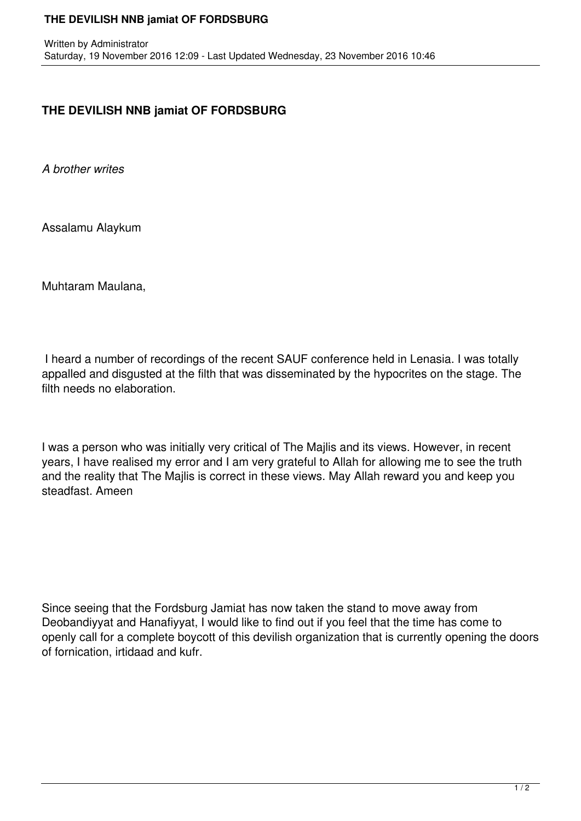## **THE DEVILISH NNB jamiat OF FORDSBURG**

## **THE DEVILISH NNB jamiat OF FORDSBURG**

*A brother writes*

Assalamu Alaykum

Muhtaram Maulana,

 I heard a number of recordings of the recent SAUF conference held in Lenasia. I was totally appalled and disgusted at the filth that was disseminated by the hypocrites on the stage. The filth needs no elaboration.

I was a person who was initially very critical of The Majlis and its views. However, in recent years, I have realised my error and I am very grateful to Allah for allowing me to see the truth and the reality that The Majlis is correct in these views. May Allah reward you and keep you steadfast. Ameen

Since seeing that the Fordsburg Jamiat has now taken the stand to move away from Deobandiyyat and Hanafiyyat, I would like to find out if you feel that the time has come to openly call for a complete boycott of this devilish organization that is currently opening the doors of fornication, irtidaad and kufr.